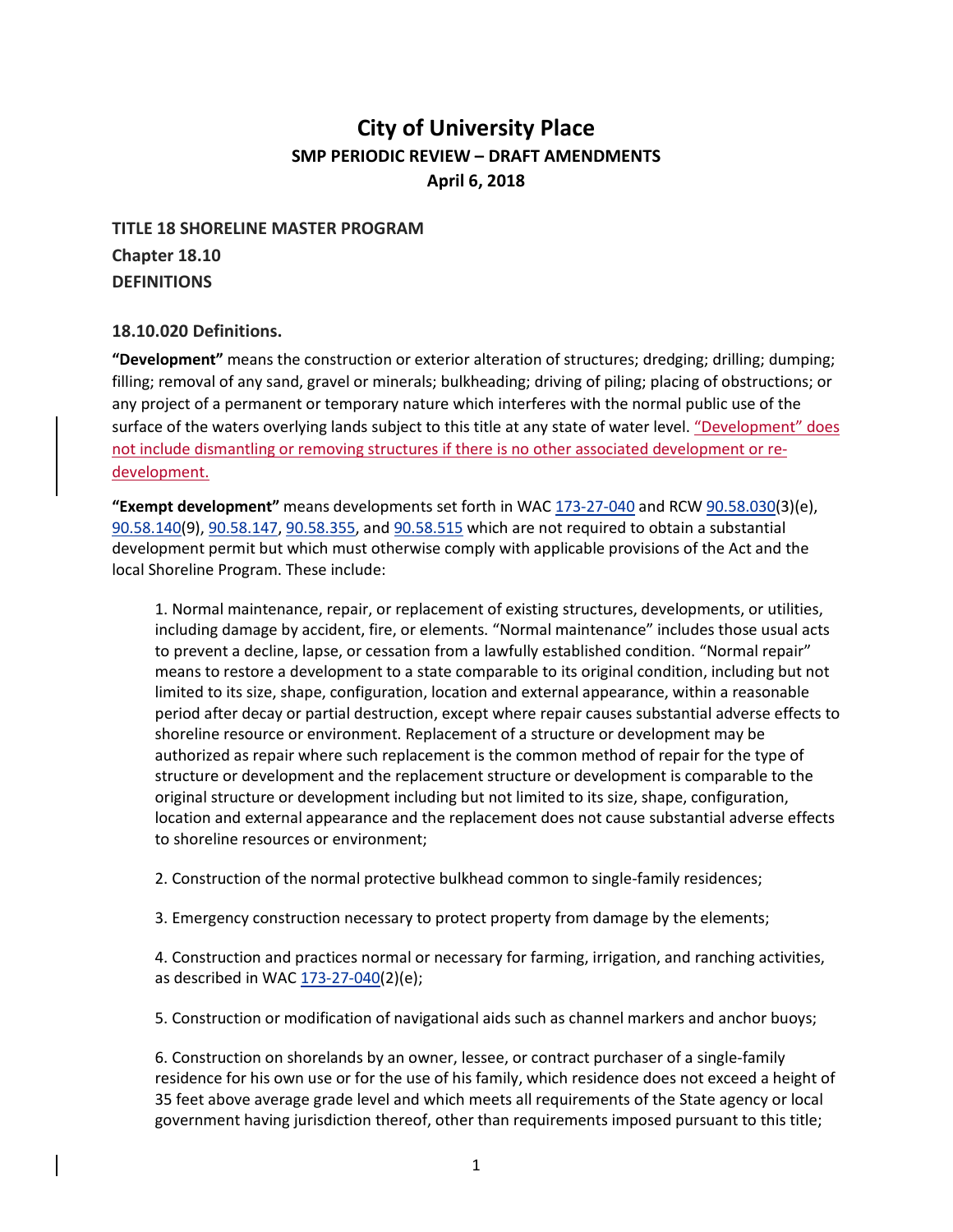# **City of University Place SMP PERIODIC REVIEW – DRAFT AMENDMENTS April 6, 2018**

## **TITLE 18 SHORELINE MASTER PROGRAM Chapter 18.10 DEFINITIONS**

#### **18.10.020 Definitions.**

**"Development"** means the construction or exterior alteration of structures; dredging; drilling; dumping; filling; removal of any sand, gravel or minerals; bulkheading; driving of piling; placing of obstructions; or any project of a permanent or temporary nature which interferes with the normal public use of the surface of the waters overlying lands subject to this title at any state of water level. "Development" does not include dismantling or removing structures if there is no other associated development or redevelopment.

**"Exempt development"** means developments set forth in WA[C 173-27-040](http://www.codepublishing.com/cgi-bin/wac.pl?cite=173-27-040) and RCW [90.58.030\(](http://www.codepublishing.com/cgi-bin/rcw.pl?cite=90.58.030)3)(e), [90.58.140\(](http://www.codepublishing.com/cgi-bin/rcw.pl?cite=90.58.140)9), [90.58.147,](http://www.codepublishing.com/cgi-bin/rcw.pl?cite=90.58.147) [90.58.355,](http://www.codepublishing.com/cgi-bin/rcw.pl?cite=90.58.355) and [90.58.515](http://www.codepublishing.com/cgi-bin/rcw.pl?cite=90.58.515) which are not required to obtain a substantial development permit but which must otherwise comply with applicable provisions of the Act and the local Shoreline Program. These include:

1. Normal maintenance, repair, or replacement of existing structures, developments, or utilities, including damage by accident, fire, or elements. "Normal maintenance" includes those usual acts to prevent a decline, lapse, or cessation from a lawfully established condition. "Normal repair" means to restore a development to a state comparable to its original condition, including but not limited to its size, shape, configuration, location and external appearance, within a reasonable period after decay or partial destruction, except where repair causes substantial adverse effects to shoreline resource or environment. Replacement of a structure or development may be authorized as repair where such replacement is the common method of repair for the type of structure or development and the replacement structure or development is comparable to the original structure or development including but not limited to its size, shape, configuration, location and external appearance and the replacement does not cause substantial adverse effects to shoreline resources or environment;

2. Construction of the normal protective bulkhead common to single-family residences;

3. Emergency construction necessary to protect property from damage by the elements;

4. Construction and practices normal or necessary for farming, irrigation, and ranching activities, as described in WAC [173-27-040\(](http://www.codepublishing.com/cgi-bin/wac.pl?cite=173-27-040)2)(e);

5. Construction or modification of navigational aids such as channel markers and anchor buoys;

6. Construction on shorelands by an owner, lessee, or contract purchaser of a single-family residence for his own use or for the use of his family, which residence does not exceed a height of 35 feet above average grade level and which meets all requirements of the State agency or local government having jurisdiction thereof, other than requirements imposed pursuant to this title;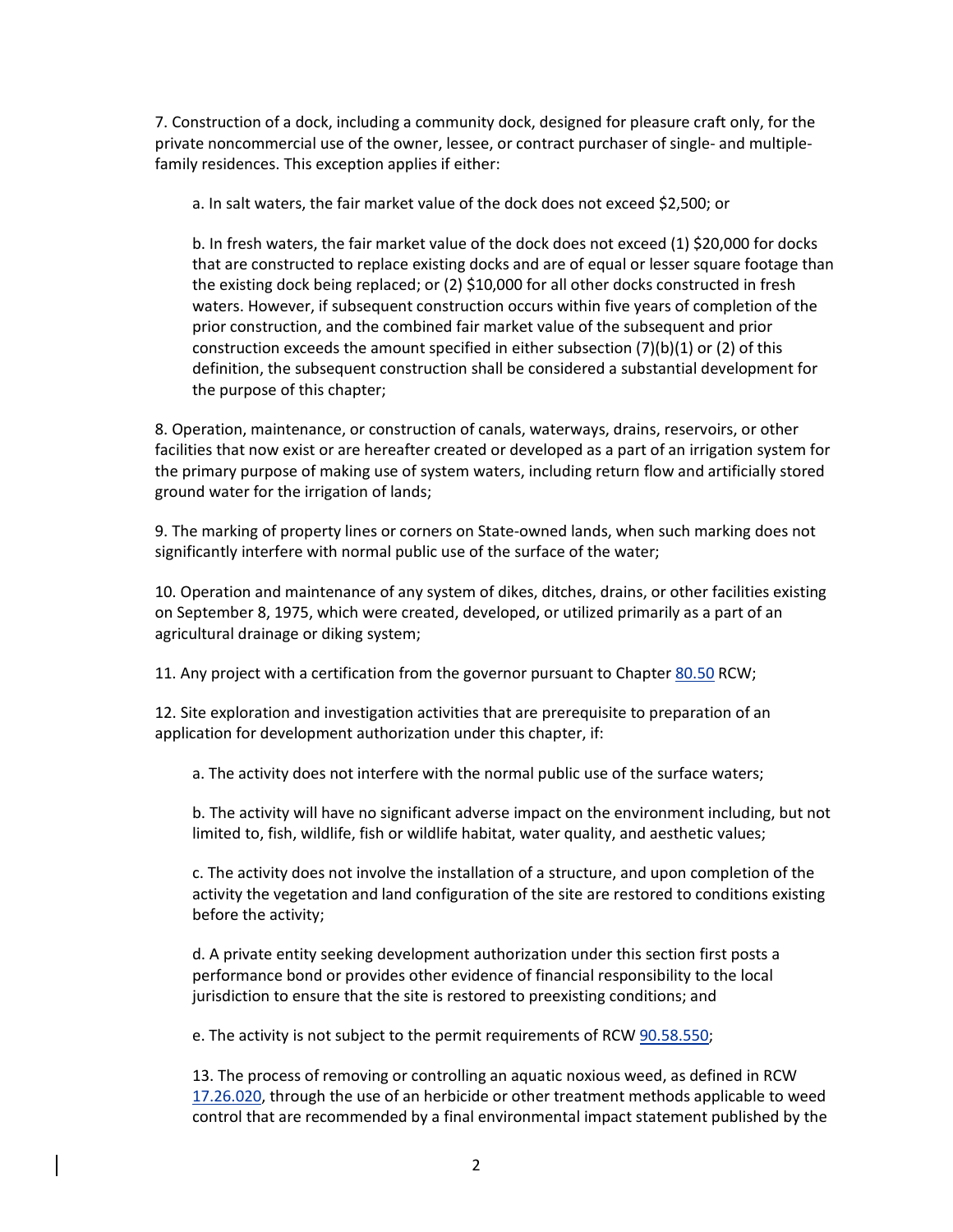7. Construction of a dock, including a community dock, designed for pleasure craft only, for the private noncommercial use of the owner, lessee, or contract purchaser of single- and multiplefamily residences. This exception applies if either:

a. In salt waters, the fair market value of the dock does not exceed \$2,500; or

b. In fresh waters, the fair market value of the dock does not exceed (1) \$20,000 for docks that are constructed to replace existing docks and are of equal or lesser square footage than the existing dock being replaced; or (2) \$10,000 for all other docks constructed in fresh waters. However, if subsequent construction occurs within five years of completion of the prior construction, and the combined fair market value of the subsequent and prior construction exceeds the amount specified in either subsection  $(7)(b)(1)$  or  $(2)$  of this definition, the subsequent construction shall be considered a substantial development for the purpose of this chapter;

8. Operation, maintenance, or construction of canals, waterways, drains, reservoirs, or other facilities that now exist or are hereafter created or developed as a part of an irrigation system for the primary purpose of making use of system waters, including return flow and artificially stored ground water for the irrigation of lands;

9. The marking of property lines or corners on State-owned lands, when such marking does not significantly interfere with normal public use of the surface of the water;

10. Operation and maintenance of any system of dikes, ditches, drains, or other facilities existing on September 8, 1975, which were created, developed, or utilized primarily as a part of an agricultural drainage or diking system;

11. Any project with a certification from the governor pursuant to Chapter [80.50](http://www.codepublishing.com/cgi-bin/rcw.pl?cite=80.50) RCW;

12. Site exploration and investigation activities that are prerequisite to preparation of an application for development authorization under this chapter, if:

a. The activity does not interfere with the normal public use of the surface waters;

b. The activity will have no significant adverse impact on the environment including, but not limited to, fish, wildlife, fish or wildlife habitat, water quality, and aesthetic values;

c. The activity does not involve the installation of a structure, and upon completion of the activity the vegetation and land configuration of the site are restored to conditions existing before the activity;

d. A private entity seeking development authorization under this section first posts a performance bond or provides other evidence of financial responsibility to the local jurisdiction to ensure that the site is restored to preexisting conditions; and

e. The activity is not subject to the permit requirements of RCW [90.58.550;](http://www.codepublishing.com/cgi-bin/rcw.pl?cite=90.58.550)

13. The process of removing or controlling an aquatic noxious weed, as defined in RCW [17.26.020,](http://www.codepublishing.com/cgi-bin/rcw.pl?cite=17.26.020) through the use of an herbicide or other treatment methods applicable to weed control that are recommended by a final environmental impact statement published by the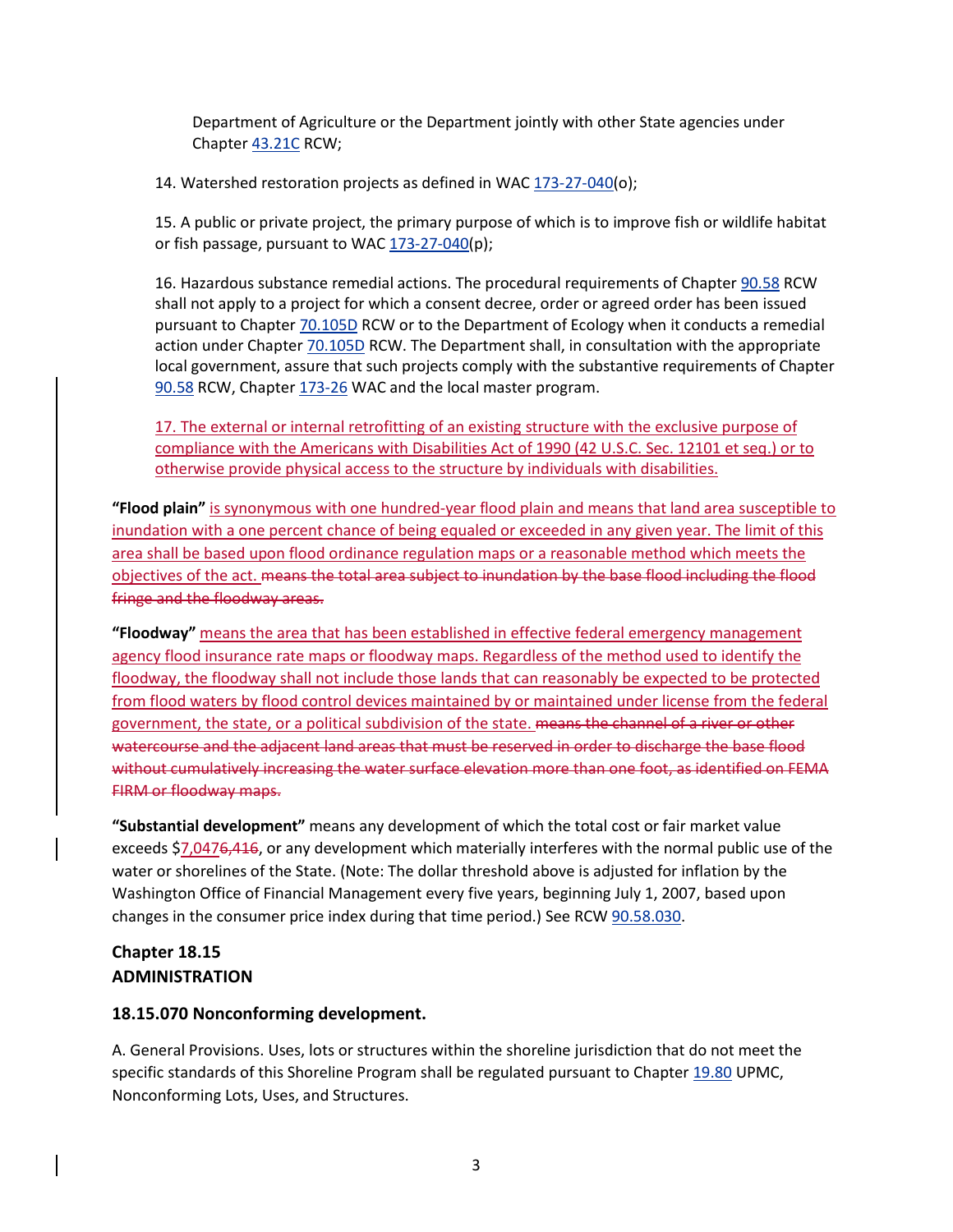Department of Agriculture or the Department jointly with other State agencies under Chapter [43.21C](http://www.codepublishing.com/cgi-bin/rcw.pl?cite=43.21C) RCW;

14. Watershed restoration projects as defined in WAC [173-27-040\(](http://www.codepublishing.com/cgi-bin/wac.pl?cite=173-27-040)o);

15. A public or private project, the primary purpose of which is to improve fish or wildlife habitat or fish passage, pursuant to WAC [173-27-040\(](http://www.codepublishing.com/cgi-bin/wac.pl?cite=173-27-040)p);

16. Hazardous substance remedial actions. The procedural requirements of Chapter [90.58](http://www.codepublishing.com/cgi-bin/rcw.pl?cite=90.58) RCW shall not apply to a project for which a consent decree, order or agreed order has been issued pursuant to Chapte[r 70.105D](http://www.codepublishing.com/cgi-bin/rcw.pl?cite=70.105D) RCW or to the Department of Ecology when it conducts a remedial action under Chapter [70.105D](http://www.codepublishing.com/cgi-bin/rcw.pl?cite=70.105D) RCW. The Department shall, in consultation with the appropriate local government, assure that such projects comply with the substantive requirements of Chapter [90.58](http://www.codepublishing.com/cgi-bin/rcw.pl?cite=90.58) RCW, Chapter [173-26](http://www.codepublishing.com/cgi-bin/wac.pl?cite=173-26) WAC and the local master program.

17. The external or internal retrofitting of an existing structure with the exclusive purpose of compliance with the Americans with Disabilities Act of 1990 (42 U.S.C. Sec. 12101 et seq.) or to otherwise provide physical access to the structure by individuals with disabilities.

**"Flood plain"** is synonymous with one hundred-year flood plain and means that land area susceptible to inundation with a one percent chance of being equaled or exceeded in any given year. The limit of this area shall be based upon flood ordinance regulation maps or a reasonable method which meets the objectives of the act. means the total area subject to inundation by the base flood including the flood fringe and the floodway areas.

**"Floodway"** means the area that has been established in effective federal emergency management agency flood insurance rate maps or floodway maps. Regardless of the method used to identify the floodway, the floodway shall not include those lands that can reasonably be expected to be protected from flood waters by flood control devices maintained by or maintained under license from the federal government, the state, or a political subdivision of the state. means the channel of a river or other watercourse and the adjacent land areas that must be reserved in order to discharge the base flood without cumulatively increasing the water surface elevation more than one foot, as identified on FEMA FIRM or floodway maps.

**"Substantial development"** means any development of which the total cost or fair market value exceeds \$7,0476,416, or any development which materially interferes with the normal public use of the water or shorelines of the State. (Note: The dollar threshold above is adjusted for inflation by the Washington Office of Financial Management every five years, beginning July 1, 2007, based upon changes in the consumer price index during that time period.) See RCW [90.58.030.](http://www.codepublishing.com/cgi-bin/rcw.pl?cite=90.58.030)

## **Chapter 18.15 ADMINISTRATION**

#### **18.15.070 Nonconforming development.**

A. General Provisions. Uses, lots or structures within the shoreline jurisdiction that do not meet the specific standards of this Shoreline Program shall be regulated pursuant to Chapter [19.80](http://www.codepublishing.com/WA/UniversityPlace/html/UniversityPlace19/UniversityPlace1980.html#19.80) UPMC, Nonconforming Lots, Uses, and Structures.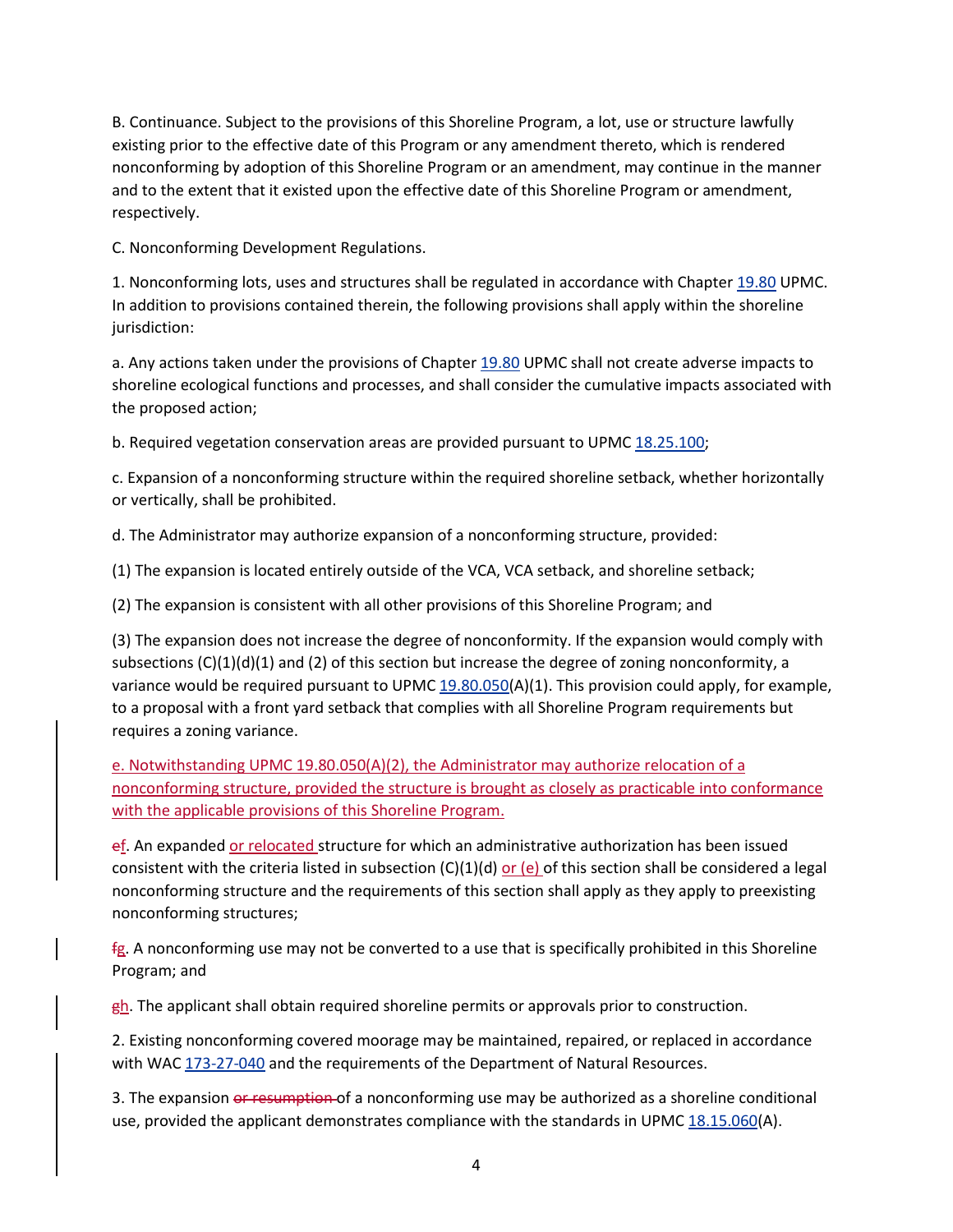B. Continuance. Subject to the provisions of this Shoreline Program, a lot, use or structure lawfully existing prior to the effective date of this Program or any amendment thereto, which is rendered nonconforming by adoption of this Shoreline Program or an amendment, may continue in the manner and to the extent that it existed upon the effective date of this Shoreline Program or amendment, respectively.

C. Nonconforming Development Regulations.

1. Nonconforming lots, uses and structures shall be regulated in accordance with Chapte[r 19.80](http://www.codepublishing.com/WA/UniversityPlace/html/UniversityPlace19/UniversityPlace1980.html#19.80) UPMC. In addition to provisions contained therein, the following provisions shall apply within the shoreline jurisdiction:

a. Any actions taken under the provisions of Chapter [19.80](http://www.codepublishing.com/WA/UniversityPlace/html/UniversityPlace19/UniversityPlace1980.html#19.80) UPMC shall not create adverse impacts to shoreline ecological functions and processes, and shall consider the cumulative impacts associated with the proposed action;

b. Required vegetation conservation areas are provided pursuant to UPMC [18.25.100;](http://www.codepublishing.com/WA/UniversityPlace/html/UniversityPlace18/UniversityPlace1825.html#18.25.100)

c. Expansion of a nonconforming structure within the required shoreline setback, whether horizontally or vertically, shall be prohibited.

d. The Administrator may authorize expansion of a nonconforming structure, provided:

(1) The expansion is located entirely outside of the VCA, VCA setback, and shoreline setback;

(2) The expansion is consistent with all other provisions of this Shoreline Program; and

(3) The expansion does not increase the degree of nonconformity. If the expansion would comply with subsections  $(C)(1)(d)(1)$  and (2) of this section but increase the degree of zoning nonconformity, a variance would be required pursuant to UPMC  $19.80.050(A)(1)$ . This provision could apply, for example, to a proposal with a front yard setback that complies with all Shoreline Program requirements but requires a zoning variance.

e. Notwithstanding UPMC 19.80.050(A)(2), the Administrator may authorize relocation of a nonconforming structure, provided the structure is brought as closely as practicable into conformance with the applicable provisions of this Shoreline Program.

ef. An expanded or relocated structure for which an administrative authorization has been issued consistent with the criteria listed in subsection  $(C)(1)(d)$  or  $(e)$  of this section shall be considered a legal nonconforming structure and the requirements of this section shall apply as they apply to preexisting nonconforming structures;

 $fg.$  A nonconforming use may not be converted to a use that is specifically prohibited in this Shoreline Program; and

 $gh$ . The applicant shall obtain required shoreline permits or approvals prior to construction.

2. Existing nonconforming covered moorage may be maintained, repaired, or replaced in accordance with WAC [173-27-040](http://www.codepublishing.com/cgi-bin/wac.pl?cite=173-27-040) and the requirements of the Department of Natural Resources.

3. The expansion or resumption of a nonconforming use may be authorized as a shoreline conditional use, provided the applicant demonstrates compliance with the standards in UPMC [18.15.060\(](http://www.codepublishing.com/WA/UniversityPlace/html/UniversityPlace18/UniversityPlace1815.html#18.15.060)A).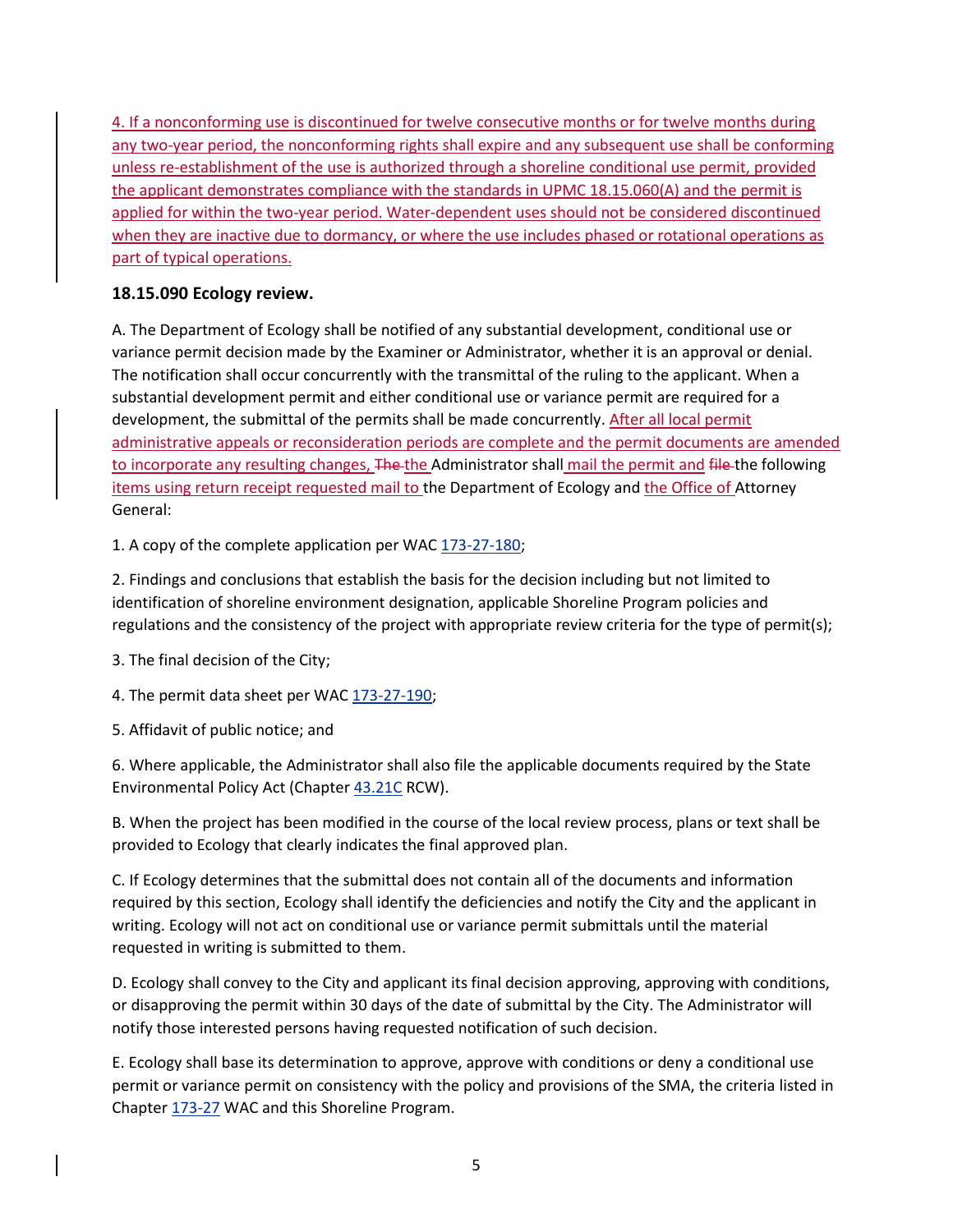4. If a nonconforming use is discontinued for twelve consecutive months or for twelve months during any two-year period, the nonconforming rights shall expire and any subsequent use shall be conforming unless re-establishment of the use is authorized through a shoreline conditional use permit, provided the applicant demonstrates compliance with the standards in UPMC [18.15.060\(](http://www.codepublishing.com/WA/UniversityPlace/html/UniversityPlace18/UniversityPlace1815.html#18.15.060)A) and the permit is applied for within the two-year period. Water-dependent uses should not be considered discontinued when they are inactive due to dormancy, or where the use includes phased or rotational operations as part of typical operations.

### **18.15.090 Ecology review.**

A. The Department of Ecology shall be notified of any substantial development, conditional use or variance permit decision made by the Examiner or Administrator, whether it is an approval or denial. The notification shall occur concurrently with the transmittal of the ruling to the applicant. When a substantial development permit and either conditional use or variance permit are required for a development, the submittal of the permits shall be made concurrently. After all local permit administrative appeals or reconsideration periods are complete and the permit documents are amended to incorporate any resulting changes, The the Administrator shall mail the permit and file the following items using return receipt requested mail to the Department of Ecology and the Office of Attorney General:

1. A copy of the complete application per WAC [173-27-180;](http://www.codepublishing.com/cgi-bin/wac.pl?cite=173-27-180)

2. Findings and conclusions that establish the basis for the decision including but not limited to identification of shoreline environment designation, applicable Shoreline Program policies and regulations and the consistency of the project with appropriate review criteria for the type of permit(s);

3. The final decision of the City;

4. The permit data sheet per WAC [173-27-190;](http://www.codepublishing.com/cgi-bin/wac.pl?cite=173-27-190)

5. Affidavit of public notice; and

6. Where applicable, the Administrator shall also file the applicable documents required by the State Environmental Policy Act (Chapter [43.21C](http://www.codepublishing.com/cgi-bin/rcw.pl?cite=43.21C) RCW).

B. When the project has been modified in the course of the local review process, plans or text shall be provided to Ecology that clearly indicates the final approved plan.

C. If Ecology determines that the submittal does not contain all of the documents and information required by this section, Ecology shall identify the deficiencies and notify the City and the applicant in writing. Ecology will not act on conditional use or variance permit submittals until the material requested in writing is submitted to them.

D. Ecology shall convey to the City and applicant its final decision approving, approving with conditions, or disapproving the permit within 30 days of the date of submittal by the City. The Administrator will notify those interested persons having requested notification of such decision.

E. Ecology shall base its determination to approve, approve with conditions or deny a conditional use permit or variance permit on consistency with the policy and provisions of the SMA, the criteria listed in Chapter [173-27](http://www.codepublishing.com/cgi-bin/wac.pl?cite=173-27) WAC and this Shoreline Program.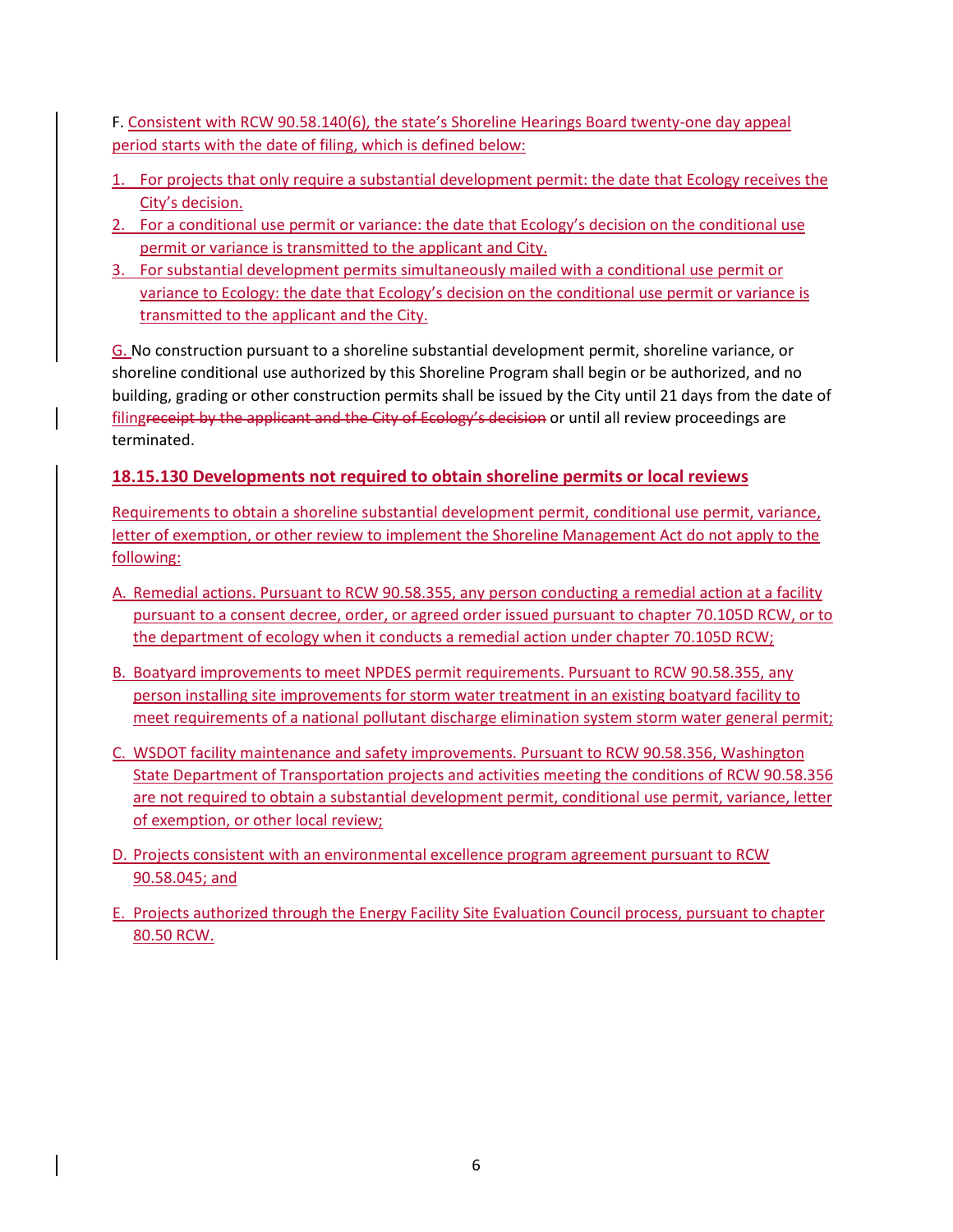F. Consistent with RCW 90.58.140(6), the state's Shoreline Hearings Board twenty-one day appeal period starts with the date of filing, which is defined below:

- 1. For projects that only require a substantial development permit: the date that Ecology receives the City's decision.
- 2. For a conditional use permit or variance: the date that Ecology's decision on the conditional use permit or variance is transmitted to the applicant and City.
- 3. For substantial development permits simultaneously mailed with a conditional use permit or variance to Ecology: the date that Ecology's decision on the conditional use permit or variance is transmitted to the applicant and the City.

G. No construction pursuant to a shoreline substantial development permit, shoreline variance, or shoreline conditional use authorized by this Shoreline Program shall begin or be authorized, and no building, grading or other construction permits shall be issued by the City until 21 days from the date of filingreceipt by the applicant and the City of Ecology's decision or until all review proceedings are terminated.

### **18.15.130 Developments not required to obtain shoreline permits or local reviews**

Requirements to obtain a shoreline substantial development permit, conditional use permit, variance, letter of exemption, or other review to implement the Shoreline Management Act do not apply to the following:

- A. Remedial actions. Pursuant to RCW 90.58.355, any person conducting a remedial action at a facility pursuant to a consent decree, order, or agreed order issued pursuant to chapter [70.105D](http://app.leg.wa.gov/RCW/default.aspx?cite=70.105D) RCW, or to the department of ecology when it conducts a remedial action under chapte[r 70.105D](http://app.leg.wa.gov/RCW/default.aspx?cite=70.105D) RCW;
- B. Boatyard improvements to meet NPDES permit requirements. Pursuant to RCW 90.58.355, any person installing site improvements for storm water treatment in an existing boatyard facility to meet requirements of a national pollutant discharge elimination system storm water general permit;
- C. WSDOT facility maintenance and safety improvements. Pursuant to RCW 90.58.356, Washington State Department of Transportation projects and activities meeting the conditions of RCW 90.58.356 are not required to obtain a substantial development permit, conditional use permit, variance, letter of exemption, or other local review;
- D. Projects consistent with an environmental excellence program agreement pursuant to RCW 90.58.045; and
- E. Projects authorized through the Energy Facility Site Evaluation Council process, pursuant to chapter 80.50 RCW.